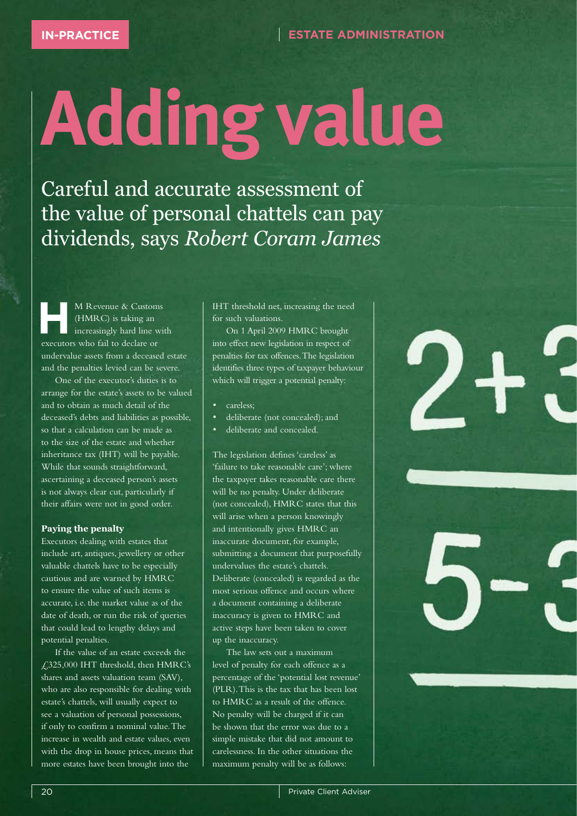## **Adding value**

Careful and accurate assessment of the value of personal chattels can pay dividends, says *Robert Coram James*

**HERE M** Revenue & Customs<br>
(HMRC) is taking an increasingly hard line with (HMRC) is taking an executors who fail to declare or undervalue assets from a deceased estate and the penalties levied can be severe.

One of the executor's duties is to arrange for the estate's assets to be valued and to obtain as much detail of the deceased's debts and liabilities as possible, so that a calculation can be made as to the size of the estate and whether inheritance tax (IHT) will be payable. While that sounds straightforward, ascertaining a deceased person's assets is not always clear cut, particularly if their affairs were not in good order.

## **Paying the penalty**

Executors dealing with estates that include art, antiques, jewellery or other valuable chattels have to be especially cautious and are warned by HMRC to ensure the value of such items is accurate, i.e. the market value as of the date of death, or run the risk of queries that could lead to lengthy delays and potential penalties.

If the value of an estate exceeds the £325,000 IHT threshold, then HMRC's shares and assets valuation team (SAV), who are also responsible for dealing with estate's chattels, will usually expect to see a valuation of personal possessions, if only to confirm a nominal value. The increase in wealth and estate values, even with the drop in house prices, means that more estates have been brought into the

IHT threshold net, increasing the need for such valuations.

On 1 April 2009 HMRC brought into effect new legislation in respect of penalties for tax offences. The legislation identifies three types of taxpayer behaviour which will trigger a potential penalty:

- careless;
- deliberate (not concealed); and
- deliberate and concealed.

The legislation defines 'careless' as 'failure to take reasonable care'; where the taxpayer takes reasonable care there will be no penalty. Under deliberate (not concealed), HMRC states that this will arise when a person knowingly and intentionally gives HMRC an inaccurate document, for example, submitting a document that purposefully undervalues the estate's chattels. Deliberate (concealed) is regarded as the most serious offence and occurs where a document containing a deliberate inaccuracy is given to HMRC and active steps have been taken to cover up the inaccuracy.

The law sets out a maximum level of penalty for each offence as a percentage of the 'potential lost revenue' (PLR). This is the tax that has been lost to HMRC as a result of the offence. No penalty will be charged if it can be shown that the error was due to a simple mistake that did not amount to carelessness. In the other situations the maximum penalty will be as follows: